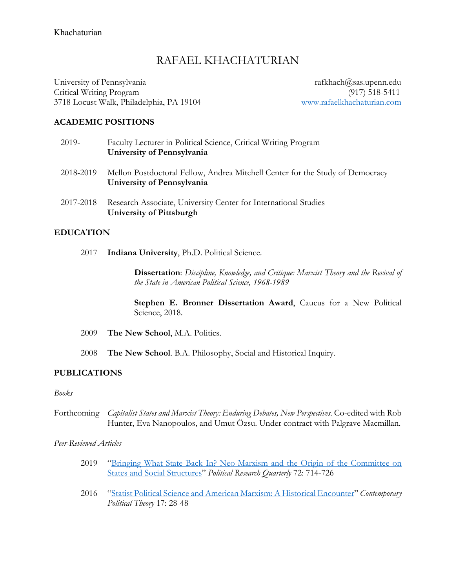# RAFAEL KHACHATURIAN

University of Pennsylvania rafkhach@sas.upenn.edu Critical Writing Program (917) 518-5411 3718 Locust Walk, Philadelphia, PA 19104 www.rafaelkhachaturian.com

## **ACADEMIC POSITIONS**

| 2019-     | Faculty Lecturer in Political Science, Critical Writing Program<br>University of Pennsylvania               |
|-----------|-------------------------------------------------------------------------------------------------------------|
| 2018-2019 | Mellon Postdoctoral Fellow, Andrea Mitchell Center for the Study of Democracy<br>University of Pennsylvania |
| 2017-2018 | Research Associate, University Center for International Studies<br>University of Pittsburgh                 |

## **EDUCATION**

2017 **Indiana University**, Ph.D. Political Science.

**Dissertation**: *Discipline, Knowledge, and Critique: Marxist Theory and the Revival of the State in American Political Science, 1968-1989* 

**Stephen E. Bronner Dissertation Award**, Caucus for a New Political Science, 2018.

- 2009 **The New School**, M.A. Politics.
- 2008 **The New School**. B.A. Philosophy, Social and Historical Inquiry.

### **PUBLICATIONS**

### *Books*

Forthcoming *Capitalist States and Marxist Theory: Enduring Debates, New Perspectives*. Co-edited with Rob Hunter, Eva Nanopoulos, and Umut Özsu. Under contract with Palgrave Macmillan.

*Peer-Reviewed Articles*

- 2019 "Bringing What State Back In? Neo-Marxism and the Origin of the Committee on States and Social Structures" *Political Research Quarterly* 72: 714-726
- 2016 "Statist Political Science and American Marxism: A Historical Encounter" *Contemporary Political Theory* 17: 28-48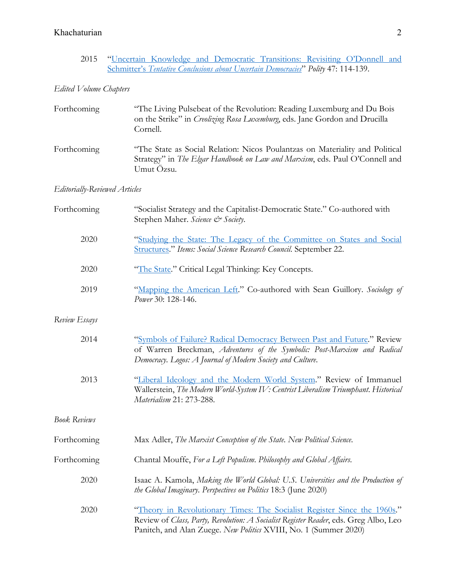## Khachaturian 2

2015 "Uncertain Knowledge and Democratic Transitions: Revisiting O'Donnell and Schmitter's *Tentative Conclusions about Uncertain Democracies*" *Polity* 47: 114-139.

## *Edited Volume Chapters*

| Forthcoming                                                             | "The Living Pulsebeat of the Revolution: Reading Luxemburg and Du Bois"<br>on the Strike" in <i>Creolizing Rosa Luxemburg</i> , eds. Jane Gordon and Drucilla<br>Cornell.         |
|-------------------------------------------------------------------------|-----------------------------------------------------------------------------------------------------------------------------------------------------------------------------------|
| Forthcoming                                                             | "The State as Social Relation: Nicos Poulantzas on Materiality and Political<br>Strategy" in <i>The Elgar Handbook on Law and Marxism</i> , eds. Paul O'Connell and<br>Umut Özsu. |
| $\Gamma$ $\cdots$ $\Gamma$ $\Gamma$ $\cdots$ $\Gamma$ $\cdots$ $\Gamma$ |                                                                                                                                                                                   |

### *Editorially-Reviewed Articles*

| Forthcoming         | "Socialist Strategy and the Capitalist-Democratic State." Co-authored with<br>Stephen Maher. Science & Society.                                                                                                                      |  |
|---------------------|--------------------------------------------------------------------------------------------------------------------------------------------------------------------------------------------------------------------------------------|--|
| 2020                | "Studying the State: The Legacy of the Committee on States and Social<br><b>Structures." Items: Social Science Research Council. September 22.</b>                                                                                   |  |
| 2020                | "The State." Critical Legal Thinking: Key Concepts.                                                                                                                                                                                  |  |
| 2019                | "Mapping the American Left." Co-authored with Sean Guillory. Sociology of<br>Power 30: 128-146.                                                                                                                                      |  |
| Review Essays       |                                                                                                                                                                                                                                      |  |
| 2014                | "Symbols of Failure? Radical Democracy Between Past and Future." Review<br>of Warren Breckman, Adventures of the Symbolic: Post-Marxism and Radical<br>Democracy. Logos: A Journal of Modern Society and Culture.                    |  |
| 2013                | "Liberal Ideology and the Modern World System." Review of Immanuel<br>Wallerstein, The Modern World-System IV: Centrist Liberalism Triumphant. Historical<br>Materialism 21: 273-288.                                                |  |
| <b>Book Reviews</b> |                                                                                                                                                                                                                                      |  |
| Forthcoming         | Max Adler, The Marxist Conception of the State. New Political Science.                                                                                                                                                               |  |
| Forthcoming         | Chantal Mouffe, For a Left Populism. Philosophy and Global Affairs.                                                                                                                                                                  |  |
| 2020                | Isaac A. Kamola, Making the World Global: U.S. Universities and the Production of<br>the Global Imaginary. Perspectives on Politics 18:3 (June 2020)                                                                                 |  |
| 2020                | "Theory in Revolutionary Times: The Socialist Register Since the 1960s."<br>Review of Class, Party, Revolution: A Socialist Register Reader, eds. Greg Albo, Leo<br>Panitch, and Alan Zuege. New Politics XVIII, No. 1 (Summer 2020) |  |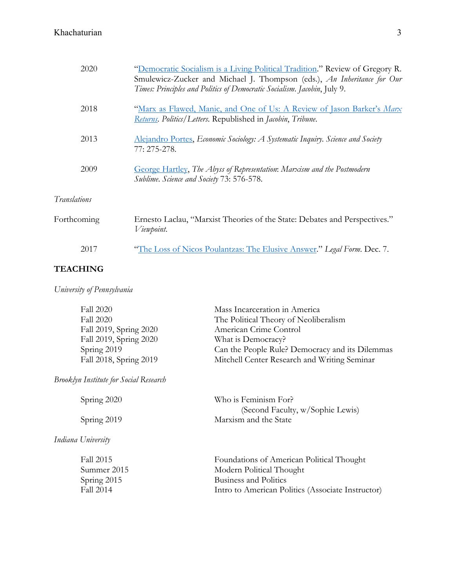## Khachaturian 3

| 2020         | "Democratic Socialism is a Living Political Tradition." Review of Gregory R.<br>Smulewicz-Zucker and Michael J. Thompson (eds.), An Inheritance for Our<br>Times: Principles and Politics of Democratic Socialism. Jacobin, July 9. |
|--------------|-------------------------------------------------------------------------------------------------------------------------------------------------------------------------------------------------------------------------------------|
| 2018         | "Marx as Flawed, Manic, and One of Us: A Review of Jason Barker's Marx<br>Returns. Politics/Letters. Republished in Jacobin, Tribune.                                                                                               |
| 2013         | <b>Alejandro Portes, Economic Sociology: A Systematic Inquiry. Science and Society</b><br>77: 275-278.                                                                                                                              |
| 2009         | George Hartley, The Abyss of Representation: Marxism and the Postmodern<br>Sublime. Science and Society 73: 576-578.                                                                                                                |
| Translations |                                                                                                                                                                                                                                     |
| Forthcoming  | Ernesto Laclau, "Marxist Theories of the State: Debates and Perspectives."<br>Viewpoint.                                                                                                                                            |
| 2017         | "The Loss of Nicos Poulantzas: The Elusive Answer." Legal Form. Dec. 7.                                                                                                                                                             |
|              |                                                                                                                                                                                                                                     |

## **TEACHING**

*Indiana University*

*University of Pennsylvania*

| <b>Fall 2020</b>       | Mass Incarceration in America                   |
|------------------------|-------------------------------------------------|
| <b>Fall 2020</b>       | The Political Theory of Neoliberalism           |
| Fall 2019, Spring 2020 | American Crime Control                          |
| Fall 2019, Spring 2020 | What is Democracy?                              |
| Spring 2019            | Can the People Rule? Democracy and its Dilemmas |
| Fall 2018, Spring 2019 | Mitchell Center Research and Writing Seminar    |
|                        |                                                 |

*Brooklyn Institute for Social Research*

| Spring 2020 | Who is Feminism For?             |
|-------------|----------------------------------|
|             | (Second Faculty, w/Sophie Lewis) |
| Spring 2019 | Marxism and the State            |
|             |                                  |

| Foundations of American Political Thought         |
|---------------------------------------------------|
| Modern Political Thought                          |
| Business and Politics                             |
| Intro to American Politics (Associate Instructor) |
|                                                   |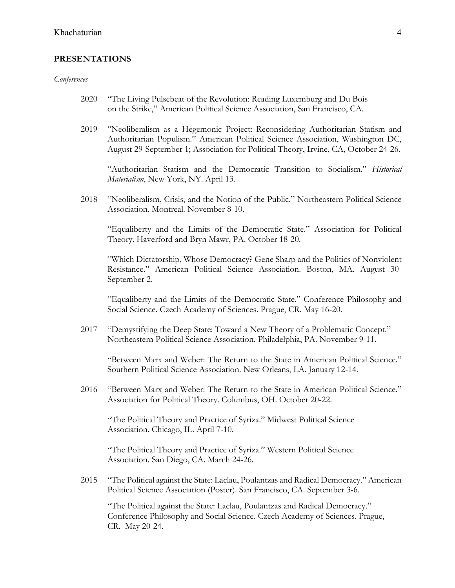### **PRESENTATIONS**

#### *Conferences*

- 2020 "The Living Pulsebeat of the Revolution: Reading Luxemburg and Du Bois on the Strike," American Political Science Association, San Francisco, CA.
- 2019 "Neoliberalism as a Hegemonic Project: Reconsidering Authoritarian Statism and Authoritarian Populism." American Political Science Association, Washington DC, August 29-September 1; Association for Political Theory, Irvine, CA, October 24-26.

"Authoritarian Statism and the Democratic Transition to Socialism." *Historical Materialism*, New York, NY. April 13.

2018 "Neoliberalism, Crisis, and the Notion of the Public." Northeastern Political Science Association. Montreal. November 8-10.

"Equaliberty and the Limits of the Democratic State." Association for Political Theory. Haverford and Bryn Mawr, PA. October 18-20.

"Which Dictatorship, Whose Democracy? Gene Sharp and the Politics of Nonviolent Resistance." American Political Science Association. Boston, MA. August 30- September 2.

"Equaliberty and the Limits of the Democratic State." Conference Philosophy and Social Science. Czech Academy of Sciences. Prague, CR. May 16-20.

2017 "Demystifying the Deep State: Toward a New Theory of a Problematic Concept." Northeastern Political Science Association. Philadelphia, PA. November 9-11.

"Between Marx and Weber: The Return to the State in American Political Science." Southern Political Science Association. New Orleans, LA. January 12-14.

2016 "Between Marx and Weber: The Return to the State in American Political Science." Association for Political Theory. Columbus, OH. October 20-22.

"The Political Theory and Practice of Syriza." Midwest Political Science Association. Chicago, IL. April 7-10.

"The Political Theory and Practice of Syriza." Western Political Science Association. San Diego, CA. March 24-26.

2015 "The Political against the State: Laclau, Poulantzas and Radical Democracy." American Political Science Association (Poster). San Francisco, CA. September 3-6.

"The Political against the State: Laclau, Poulantzas and Radical Democracy." Conference Philosophy and Social Science. Czech Academy of Sciences. Prague, CR. May 20-24.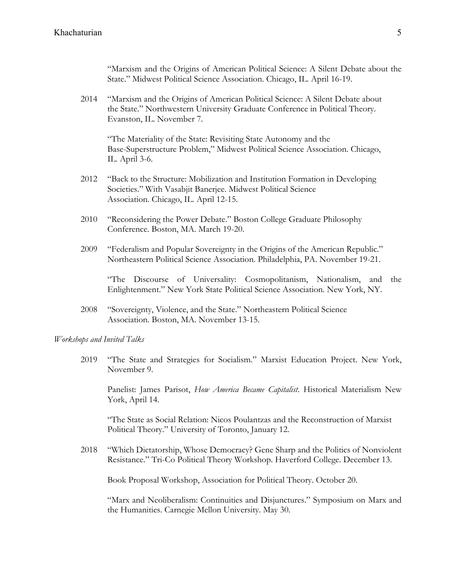"Marxism and the Origins of American Political Science: A Silent Debate about the State." Midwest Political Science Association. Chicago, IL. April 16-19.

2014 "Marxism and the Origins of American Political Science: A Silent Debate about the State." Northwestern University Graduate Conference in Political Theory. Evanston, IL. November 7.

"The Materiality of the State: Revisiting State Autonomy and the Base-Superstructure Problem," Midwest Political Science Association. Chicago, IL. April 3-6.

- 2012 "Back to the Structure: Mobilization and Institution Formation in Developing Societies." With Vasabjit Banerjee. Midwest Political Science Association. Chicago, IL. April 12-15.
- 2010 "Reconsidering the Power Debate." Boston College Graduate Philosophy Conference. Boston, MA. March 19-20.
- 2009 "Federalism and Popular Sovereignty in the Origins of the American Republic." Northeastern Political Science Association. Philadelphia, PA. November 19-21.

"The Discourse of Universality: Cosmopolitanism, Nationalism, and the Enlightenment." New York State Political Science Association. New York, NY.

2008 "Sovereignty, Violence, and the State." Northeastern Political Science Association. Boston, MA. November 13-15.

*Workshops and Invited Talks*

2019 "The State and Strategies for Socialism." Marxist Education Project. New York, November 9.

Panelist: James Parisot, *How America Became Capitalist*. Historical Materialism New York, April 14.

"The State as Social Relation: Nicos Poulantzas and the Reconstruction of Marxist Political Theory." University of Toronto, January 12.

2018 "Which Dictatorship, Whose Democracy? Gene Sharp and the Politics of Nonviolent Resistance." Tri-Co Political Theory Workshop. Haverford College. December 13.

Book Proposal Workshop, Association for Political Theory. October 20.

"Marx and Neoliberalism: Continuities and Disjunctures." Symposium on Marx and the Humanities. Carnegie Mellon University. May 30.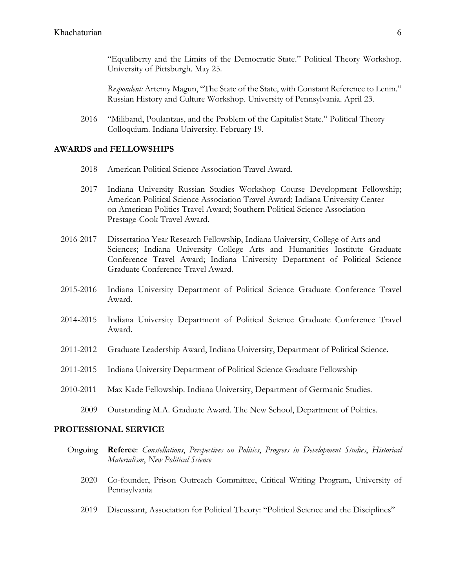"Equaliberty and the Limits of the Democratic State." Political Theory Workshop. University of Pittsburgh. May 25.

*Respondent:* Artemy Magun, "The State of the State, with Constant Reference to Lenin." Russian History and Culture Workshop. University of Pennsylvania. April 23.

2016 "Miliband, Poulantzas, and the Problem of the Capitalist State." Political Theory Colloquium. Indiana University. February 19.

### **AWARDS and FELLOWSHIPS**

- 2018 American Political Science Association Travel Award.
- 2017 Indiana University Russian Studies Workshop Course Development Fellowship; American Political Science Association Travel Award; Indiana University Center on American Politics Travel Award; Southern Political Science Association Prestage-Cook Travel Award.
- 2016-2017 Dissertation Year Research Fellowship, Indiana University, College of Arts and Sciences; Indiana University College Arts and Humanities Institute Graduate Conference Travel Award; Indiana University Department of Political Science Graduate Conference Travel Award.
- 2015-2016 Indiana University Department of Political Science Graduate Conference Travel Award.
- 2014-2015 Indiana University Department of Political Science Graduate Conference Travel Award.
- 2011-2012 Graduate Leadership Award, Indiana University, Department of Political Science.
- 2011-2015 Indiana University Department of Political Science Graduate Fellowship
- 2010-2011 Max Kade Fellowship. Indiana University, Department of Germanic Studies.
	- 2009 Outstanding M.A. Graduate Award. The New School, Department of Politics.

### **PROFESSIONAL SERVICE**

- Ongoing **Referee**: *Constellations*, *Perspectives on Politics*, *Progress in Development Studies*, *Historical Materialism*, *New Political Science*
	- 2020 Co-founder, Prison Outreach Committee, Critical Writing Program, University of Pennsylvania
	- 2019 Discussant, Association for Political Theory: "Political Science and the Disciplines"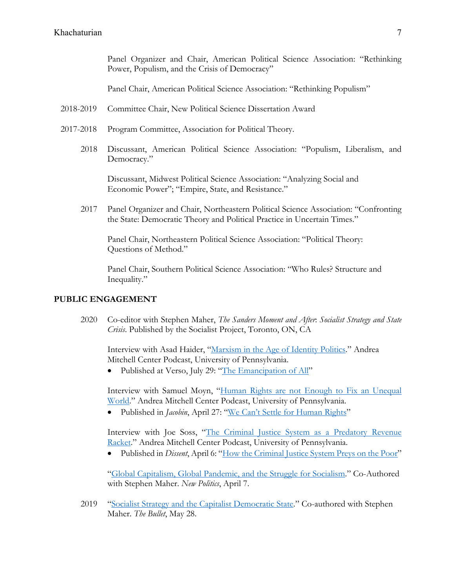Panel Organizer and Chair, American Political Science Association: "Rethinking Power, Populism, and the Crisis of Democracy"

Panel Chair, American Political Science Association: "Rethinking Populism"

- 2018-2019 Committee Chair, New Political Science Dissertation Award
- 2017-2018 Program Committee, Association for Political Theory.
	- 2018 Discussant, American Political Science Association: "Populism, Liberalism, and Democracy."

Discussant, Midwest Political Science Association: "Analyzing Social and Economic Power"; "Empire, State, and Resistance."

2017 Panel Organizer and Chair, Northeastern Political Science Association: "Confronting the State: Democratic Theory and Political Practice in Uncertain Times."

Panel Chair, Northeastern Political Science Association: "Political Theory: Questions of Method."

Panel Chair, Southern Political Science Association: "Who Rules? Structure and Inequality."

#### **PUBLIC ENGAGEMENT**

2020 Co-editor with Stephen Maher, *The Sanders Moment and After*: *Socialist Strategy and State Crisis*. Published by the Socialist Project, Toronto, ON, CA

Interview with Asad Haider, "Marxism in the Age of Identity Politics." Andrea Mitchell Center Podcast, University of Pennsylvania.

• Published at Verso, July 29: "The Emancipation of All"

Interview with Samuel Moyn, "Human Rights are not Enough to Fix an Unequal World." Andrea Mitchell Center Podcast, University of Pennsylvania.

• Published in *Jacobin*, April 27: "We Can't Settle for Human Rights"

Interview with Joe Soss, "The Criminal Justice System as a Predatory Revenue Racket." Andrea Mitchell Center Podcast, University of Pennsylvania.

• Published in *Dissent*, April 6: "How the Criminal Justice System Preys on the Poor"

"Global Capitalism, Global Pandemic, and the Struggle for Socialism." Co-Authored with Stephen Maher. *New Politics*, April 7.

2019 "Socialist Strategy and the Capitalist Democratic State." Co-authored with Stephen Maher. *The Bullet*, May 28.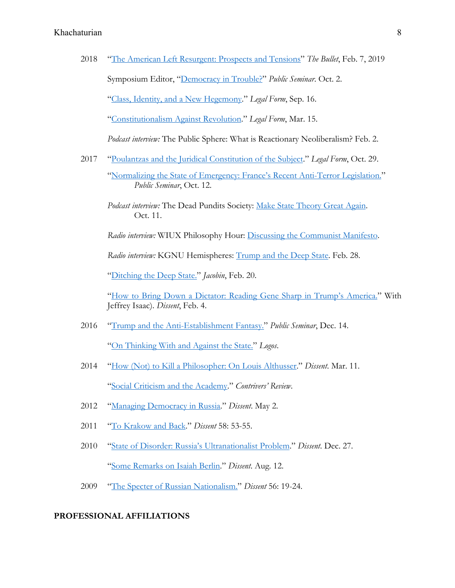2018 "The American Left Resurgent: Prospects and Tensions" *The Bullet*, Feb. 7, 2019 Symposium Editor, "Democracy in Trouble?" *Public Seminar*. Oct. 2. "Class, Identity, and a New Hegemony." *Legal Form*, Sep. 16.

"Constitutionalism Against Revolution." *Legal Form*, Mar. 15.

*Podcast interview:* The Public Sphere: What is Reactionary Neoliberalism? Feb. 2.

- 2017 "Poulantzas and the Juridical Constitution of the Subject." *Legal Form*, Oct. 29.
	- "Normalizing the State of Emergency: France's Recent Anti-Terror Legislation." *Public Seminar*, Oct. 12.
	- *Podcast interview:* The Dead Pundits Society: Make State Theory Great Again. Oct. 11.

*Radio interview:* WIUX Philosophy Hour: Discussing the Communist Manifesto.

 *Radio interview:* KGNU Hemispheres: Trump and the Deep State. Feb. 28.

"Ditching the Deep State." *Jacobin*, Feb. 20.

"How to Bring Down a Dictator: Reading Gene Sharp in Trump's America." With Jeffrey Isaac). *Dissent*, Feb. 4.

2016 "Trump and the Anti-Establishment Fantasy." *Public Seminar*, Dec. 14.

"On Thinking With and Against the State." *Logos*.

- 2014 "How (Not) to Kill a Philosopher: On Louis Althusser." *Dissent*. Mar. 11. "Social Criticism and the Academy." *Contrivers' Review*.
- 2012 "Managing Democracy in Russia." *Dissent*. May 2.
- 2011 "To Krakow and Back." *Dissent* 58: 53-55.
- 2010 "State of Disorder: Russia's Ultranationalist Problem." *Dissent*. Dec. 27. "Some Remarks on Isaiah Berlin." *Dissent*. Aug. 12.
- 2009 "The Specter of Russian Nationalism." *Dissent* 56: 19-24.

### **PROFESSIONAL AFFILIATIONS**